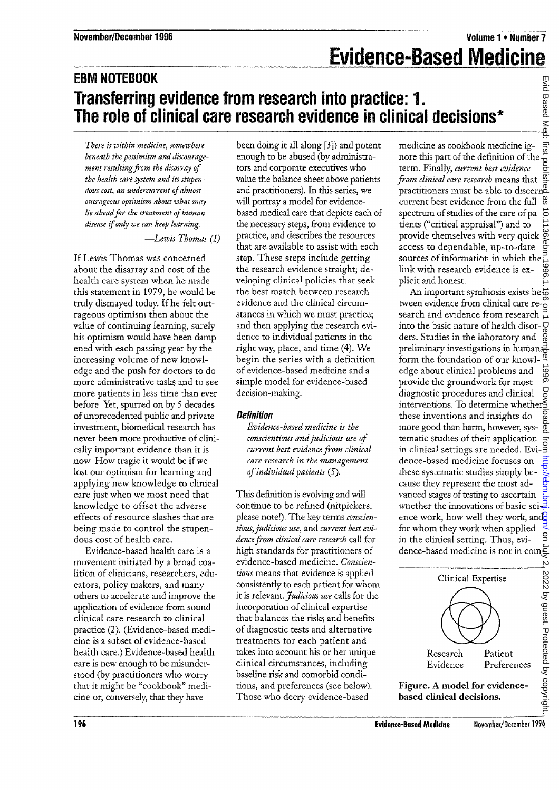# **EBM NOTEBOOK Transferring evidence from research into practice: 1. The role of clinical care research evidence in clinical decisions\***

*There is •within medicine, somewhere beneath the pessimism- and discouragement resulting from the dismray of the health care system and its stupendous cost, an undercurrent of almost outrageous optimism about what may lie ahead for the treatment of human disease if only we can keep learning.*

—*Lewis Thomas (1)*

If Lewis Thomas was concerned about the disarray and cost of the health care system when he made this statement in 1979, he would be truly dismayed today. If he felt outrageous optimism then about the value of continuing learning, surely his optimism would have been dampened with each passing year by the increasing volume of new knowledge and the push for doctors to do more administrative tasks and to see more patients in less time than ever before. Yet, spurred on by 5 decades of unprecedented public and private investment, biomedical research has never been more productive of clinically important evidence than it is now. How tragic it would be if we lost our optimism for learning and applying new knowledge to clinical care just when we most need that knowledge to offset the adverse effects of resource slashes that are being made to control the stupendous cost of health care. **EVAIND EVAIL CONFIDENTIES (The CONSUMER CONFIDENTIES) and the Consumer Consumer Consumer Consumer Consumer Consumer Consumer Consumer Consumer Consumer Consumer Consumer Consumer Consumer Consumer Consumer Consumer Consu** 

Evidence-based health care is a movement initiated by a broad coalition of clinicians, researchers, educators, policy makers, and many others to accelerate and improve the application of evidence from sound clinical care research to clinical practice (2). (Evidence-based medicine is a subset of evidence-based health care.) Evidence-based health care is new enough to be misunderstood (by practitioners who worry that it might be "cookbook" medicine or, conversely, that they have

been doing it all along [3]) and potent enough to be abused (by administrators and corporate executives who value the balance sheet above patients and practitioners). In this series, we will portray a model for evidencebased medical care that depicts each of the necessary steps, from evidence to practice, and describes the resources that are available to assist with each step. These steps include getting the research evidence straight; developing clinical policies that seek the best match between research evidence and the clinical circumstances in which we must practice; and then applying the research evidence to individual patients in the right way, place, and time (4). We begin the series with a definition of evidence-based medicine and a simple model for evidence-based decision-making.

## **Definition**

*Evidence-based medicine is the conscientious and judicious use of current best evidence from clinical care research in the management of individual patients* (5).

This definition is evolving and will continue to be refined (nitpickers, please note!). The key terms *conscien*tious, judicious use, and current best evi*dence from clinical care research* call for high standards for practitioners of evidence-based medicine. *Conscientious* means that evidence is applied consistently to each patient for whom it is relevant. *Judicious use* calls for the incorporation of clinical expertise that balances the risks and benefits of diagnostic tests and alternative treatments for each patient and takes into account his or her unique clinical circumstances, including baseline risk and comorbid conditions, and preferences (see below). Those who decry evidence-based

medicine as cookbook medicine ignore this part of the definition of the term. Finally, *current best evidence from clinical care research* means that practitioners must be able to discern $\bar{a}$ current best evidence from the full  $\frac{a}{b}$ spectrum of studies of the care of pa- $\vec{\phi}$ tients ("critical appraisal") and to provide themselves with very quick access to dependable, up-to-date sources of information in which the link with research evidence is explicit and honest.

An important symbiosis exists between evidence from clinical care research and evidence from research into the basic nature of health disorders. Studies in the laboratory and preliminary investigations in humans form the foundation of our knowledge about clinical problems and provide the groundwork for most diagnostic procedures and clinical diagnostic procedures and clinical g<br>interventions. To determine whethers these inventions and insights do more good than harm, however, systematic studies of their application Example settings are needed. Evi- $\frac{1}{3}$ <br>denote  $\frac{1}{3}$ dence-based medicine focuses on these systematic studies simply because they represent the most advanced stages of testing to ascertain whether the innovations of basic science work, how well they work, and ence work, how well they work, and  $\frac{1}{3}$  for whom they work when applied in the clinical setting. Thus, eviin the clinical setting. Thus, evi-<br>dence-based medicine is not in com-

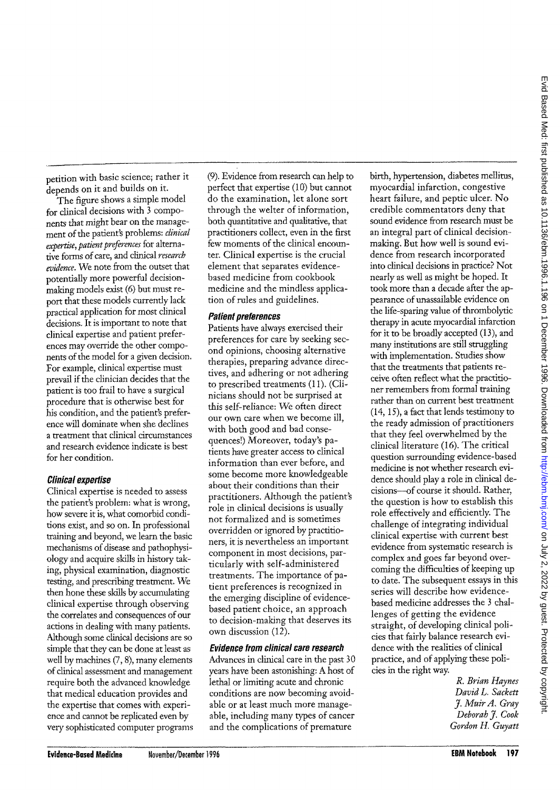^petition with basic science; rather it ^depends on it and builds on it.

The figure shows a simple model for clinical decisions with 3 components that might bear on the manage-•ment of the patient's problems: *clinical expertise, patient preferences* for alternative forms of care, and clinical *research 'evidence.* We note from the outset that potentially more powerful decisionmaking models exist (6) but must report that these models currently lack practical application for most clinical decisions. It is important to note that clinical expertise and patient preferences may override the other components of the model for a given decision. For example, clinical expertise must prevail if the clinician decides that the patient is too frail to have a surgical procedure that is otherwise best for his condition, and the patient's preference will dominate when she declines a treatment that clinical circumstances and research evidence indicate is best for her condition.

### Clinical expertise

Clinical expertise is needed to assess the patient's problem: what is wrong, how severe it is, what comorbid conditions exist, and so on. In professional training and beyond, we learn the basic mechanisms of disease and pathophysiology and acquire skills in history taking, physical examination, diagnostic testing, and prescribing treatment. We then hone these skills by accumulating clinical expertise through observing the correlates and consequences of our actions in dealing with many patients. Although some clinical decisions are so simple that they can be done at least as well by machines (7, 8), many elements of clinical assessment and management require both the advanced knowledge that medical education provides and the expertise that comes with experience and cannot be replicated even by very sophisticated computer programs (9). Evidence from research can help to perfect that expertise (10) but cannot do the examination, let alone sort through the welter of information, both quantitative and qualitative, that practitioners collect, even in the first few moments of the clinical encounter. Clinical expertise is the crucial element that separates evidencebased medicine from cookbook medicine and the mindless application of rules and guidelines.

#### Patient preferences

Patients have always exercised their preferences for care by seeking second opinions, choosing alternative therapies, preparing advance directives, and adhering or not adhering to prescribed treatments (II). (Clinicians should not be surprised at this self-reliance: We often direct our own care when we become ill, with both good and bad consequences!) Moreover, today's patients have greater access to clinical information than ever before, and some become more knowledgeable about their conditions than their practitioners. Although the patient's role in clinical decisions is usually not formalized and is sometimes overridden or ignored by practitioners, it is nevertheless an important component in most decisions, particularly with self-administered treatments. The importance of patient preferences is recognized in the emerging discipline of evidencebased patient choice, an approach to decision-making that deserves its own discussion (12).

### Evidence from clinical care research

Advances in clinical care in the past 30 years have been astonishing: A host of lethal or limiting acute and chronic conditions are now becoming avoidable or at least much more manageable, including many types of cancer and the complications of premature

birth, hypertension, diabetes mellitus, myocardial infarction, congestive heart failure, and peptic ulcer. No credible commentators deny that sound evidence from research must be an integral part of clinical decisionmaking. But how well is sound evidence from research incorporated into clinical decisions in practice? Not nearly as well as might be hoped. It took more than a decade after the appearance of unassailable evidence on the life-sparing value of thrombolytic therapy in acute myocardial infarction for it to be broadly accepted (13), and many institutions are still struggling with implementation. Studies show that the treatments that patients receive often reflect what the practitioner remembers from formal training rather than on current best treatment (14,15), a fact that lends testimony to the ready admission of practitioners that they feel overwhelmed by the clinical literature (16). The critical question surrounding evidence-based medicine is not whether research evidence should play a role in clinical decisions—of course it should. Rather, the question is how to establish this role effectively and efficiently. The challenge of integrating individual chancing of inceptaning individual eminear expertise with current best evidence from systematic research is complex and goes far beyond overcoming the difficulties of keeping up to date. The subsequent essays in this series will describe how evidencebased medicine addresses the 3 challenges of getting the evidence straight, of developing clinical policies that fairly balance research evidence with the realities of clinical practice, and of applying these poli-<br>cies in the right way.

*R. Brian Haynes David L. Sackett J. MuirA. Gray Deborah J. Cook Gordon H. Guyatt*